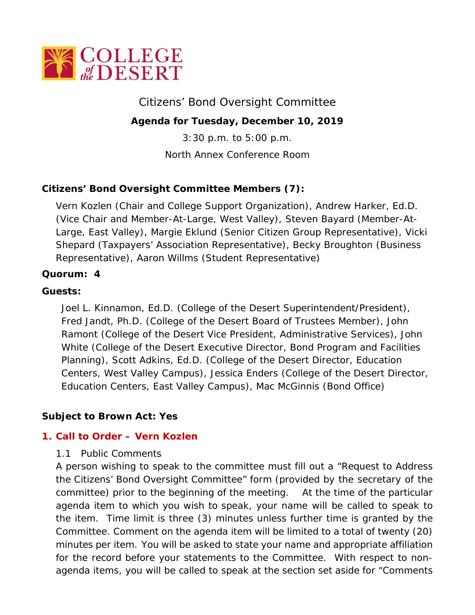

# Citizens' Bond Oversight Committee

## **Agenda for Tuesday, December 10, 2019**

3:30 p.m. to 5:00 p.m.

North Annex Conference Room

# **Citizens' Bond Oversight Committee Members (7):**

Vern Kozlen (Chair and College Support Organization), Andrew Harker, Ed.D. (Vice Chair and Member-At-Large, West Valley), Steven Bayard (Member-At-Large, East Valley), Margie Eklund (Senior Citizen Group Representative), Vicki Shepard (Taxpayers' Association Representative), Becky Broughton (Business Representative), Aaron Willms (Student Representative)

## **Quorum: 4**

## **Guests:**

Joel L. Kinnamon, Ed.D. (College of the Desert Superintendent/President), Fred Jandt, Ph.D. (College of the Desert Board of Trustees Member), John Ramont (College of the Desert Vice President, Administrative Services), John White (College of the Desert Executive Director, Bond Program and Facilities Planning), Scott Adkins, Ed.D. (College of the Desert Director, Education Centers, West Valley Campus), Jessica Enders (College of the Desert Director, Education Centers, East Valley Campus), Mac McGinnis (Bond Office)

## **Subject to Brown Act: Yes**

## **1. Call to Order – Vern Kozlen**

#### 1.1 Public Comments

A person wishing to speak to the committee must fill out a "Request to Address the Citizens' Bond Oversight Committee" form (provided by the secretary of the committee) prior to the beginning of the meeting. At the time of the particular agenda item to which you wish to speak, your name will be called to speak to the item. Time limit is three (3) minutes unless further time is granted by the Committee. Comment on the agenda item will be limited to a total of twenty (20) minutes per item. You will be asked to state your name and appropriate affiliation for the record before your statements to the Committee. With respect to nonagenda items, you will be called to speak at the section set aside for "Comments